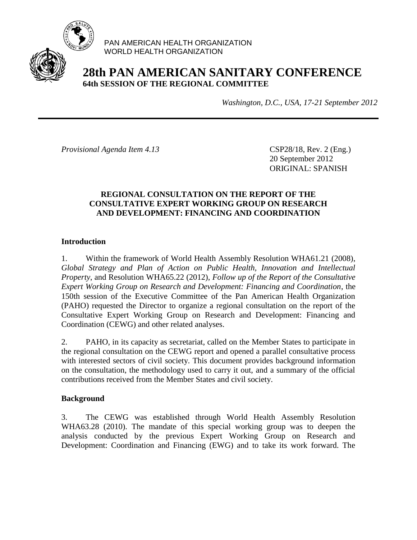

PAN AMERICAN HEALTH ORGANIZATION WORLD HEALTH ORGANIZATION

# **28th PAN AMERICAN SANITARY CONFERENCE 64th SESSION OF THE REGIONAL COMMITTEE**

*Washington, D.C., USA, 17-21 September 2012*

*Provisional Agenda Item 4.13* CSP28/18, Rev. 2 (Eng.)

20 September 2012 ORIGINAL: SPANISH

#### **REGIONAL CONSULTATION ON THE REPORT OF THE CONSULTATIVE EXPERT WORKING GROUP ON RESEARCH AND DEVELOPMENT: FINANCING AND COORDINATION**

# **Introduction**

1. Within the framework of World Health Assembly Resolution WHA61.21 (2008), *Global Strategy and Plan of Action on Public Health, Innovation and Intellectual Property*, and Resolution WHA65.22 (2012), *Follow up of the Report of the Consultative Expert Working Group on Research and Development: Financing and Coordination*, the 150th session of the Executive Committee of the Pan American Health Organization (PAHO) requested the Director to organize a regional consultation on the report of the Consultative Expert Working Group on Research and Development: Financing and Coordination (CEWG) and other related analyses.

2. PAHO, in its capacity as secretariat, called on the Member States to participate in the regional consultation on the CEWG report and opened a parallel consultative process with interested sectors of civil society. This document provides background information on the consultation, the methodology used to carry it out, and a summary of the official contributions received from the Member States and civil society.

### **Background**

3. The CEWG was established through World Health Assembly Resolution WHA63.28 (2010). The mandate of this special working group was to deepen the analysis conducted by the previous Expert Working Group on Research and Development: Coordination and Financing (EWG) and to take its work forward. The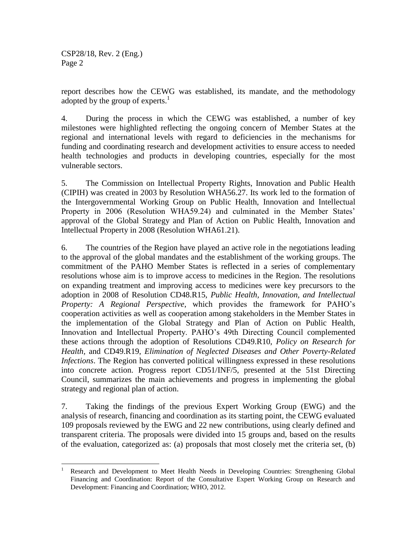report describes how the CEWG was established, its mandate, and the methodology adopted by the group of experts. $<sup>1</sup>$ </sup>

4. During the process in which the CEWG was established, a number of key milestones were highlighted reflecting the ongoing concern of Member States at the regional and international levels with regard to deficiencies in the mechanisms for funding and coordinating research and development activities to ensure access to needed health technologies and products in developing countries, especially for the most vulnerable sectors.

5. The Commission on Intellectual Property Rights, Innovation and Public Health (CIPIH) was created in 2003 by Resolution WHA56.27. Its work led to the formation of the Intergovernmental Working Group on Public Health, Innovation and Intellectual Property in 2006 (Resolution WHA59.24) and culminated in the Member States' approval of the Global Strategy and Plan of Action on Public Health, Innovation and Intellectual Property in 2008 (Resolution WHA61.21).

6. The countries of the Region have played an active role in the negotiations leading to the approval of the global mandates and the establishment of the working groups. The commitment of the PAHO Member States is reflected in a series of complementary resolutions whose aim is to improve access to medicines in the Region. The resolutions on expanding treatment and improving access to medicines were key precursors to the adoption in 2008 of Resolution CD48.R15, *Public Health, Innovation, and Intellectual Property: A Regional Perspective*, which provides the framework for PAHO's cooperation activities as well as cooperation among stakeholders in the Member States in the implementation of the Global Strategy and Plan of Action on Public Health, Innovation and Intellectual Property. PAHO's 49th Directing Council complemented these actions through the adoption of Resolutions CD49.R10, *Policy on Research for Health,* and CD49.R19, *Elimination of Neglected Diseases and Other Poverty-Related Infections*. The Region has converted political willingness expressed in these resolutions into concrete action. Progress report CD51/INF/5, presented at the 51st Directing Council, summarizes the main achievements and progress in implementing the global strategy and regional plan of action.

7. Taking the findings of the previous Expert Working Group (EWG) and the analysis of research, financing and coordination as its starting point, the CEWG evaluated 109 proposals reviewed by the EWG and 22 new contributions, using clearly defined and transparent criteria. The proposals were divided into 15 groups and, based on the results of the evaluation, categorized as: (a) proposals that most closely met the criteria set, (b)

 $\overline{\phantom{a}}$ <sup>1</sup> Research and Development to Meet Health Needs in Developing Countries: Strengthening Global Financing and Coordination: Report of the Consultative Expert Working Group on Research and Development: Financing and Coordination; WHO, 2012.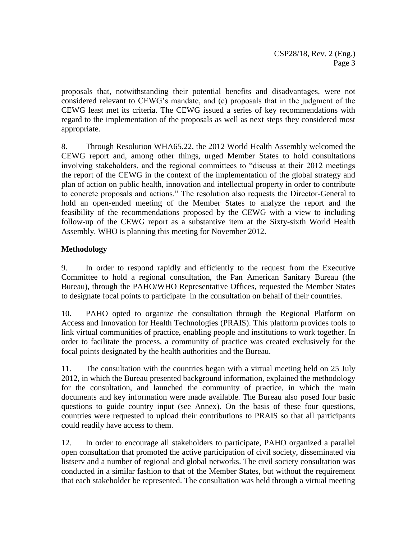proposals that, notwithstanding their potential benefits and disadvantages, were not considered relevant to CEWG's mandate, and (c) proposals that in the judgment of the CEWG least met its criteria. The CEWG issued a series of key recommendations with regard to the implementation of the proposals as well as next steps they considered most appropriate.

8. Through Resolution WHA65.22, the 2012 World Health Assembly welcomed the CEWG report and, among other things, urged Member States to hold consultations involving stakeholders, and the regional committees to "discuss at their 2012 meetings the report of the CEWG in the context of the implementation of the global strategy and plan of action on public health, innovation and intellectual property in order to contribute to concrete proposals and actions." The resolution also requests the Director-General to hold an open-ended meeting of the Member States to analyze the report and the feasibility of the recommendations proposed by the CEWG with a view to including follow-up of the CEWG report as a substantive item at the Sixty-sixth World Health Assembly. WHO is planning this meeting for November 2012.

# **Methodology**

9. In order to respond rapidly and efficiently to the request from the Executive Committee to hold a regional consultation, the Pan American Sanitary Bureau (the Bureau), through the PAHO/WHO Representative Offices, requested the Member States to designate focal points to participate in the consultation on behalf of their countries.

10. PAHO opted to organize the consultation through the Regional Platform on Access and Innovation for Health Technologies (PRAIS). This platform provides tools to link virtual communities of practice, enabling people and institutions to work together. In order to facilitate the process, a community of practice was created exclusively for the focal points designated by the health authorities and the Bureau.

11. The consultation with the countries began with a virtual meeting held on 25 July 2012, in which the Bureau presented background information, explained the methodology for the consultation, and launched the community of practice, in which the main documents and key information were made available. The Bureau also posed four basic questions to guide country input (see Annex). On the basis of these four questions, countries were requested to upload their contributions to PRAIS so that all participants could readily have access to them.

12. In order to encourage all stakeholders to participate, PAHO organized a parallel open consultation that promoted the active participation of civil society, disseminated via listserv and a number of regional and global networks. The civil society consultation was conducted in a similar fashion to that of the Member States, but without the requirement that each stakeholder be represented. The consultation was held through a virtual meeting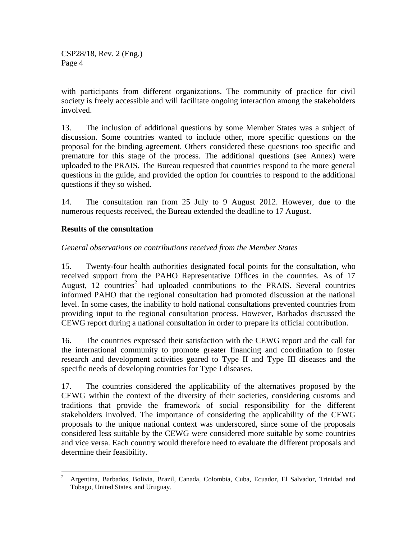with participants from different organizations. The community of practice for civil society is freely accessible and will facilitate ongoing interaction among the stakeholders involved.

13. The inclusion of additional questions by some Member States was a subject of discussion. Some countries wanted to include other, more specific questions on the proposal for the binding agreement. Others considered these questions too specific and premature for this stage of the process. The additional questions (see Annex) were uploaded to the PRAIS. The Bureau requested that countries respond to the more general questions in the guide, and provided the option for countries to respond to the additional questions if they so wished.

14. The consultation ran from 25 July to 9 August 2012. However, due to the numerous requests received, the Bureau extended the deadline to 17 August.

### **Results of the consultation**

#### *General observations on contributions received from the Member States*

15. Twenty-four health authorities designated focal points for the consultation, who received support from the PAHO Representative Offices in the countries. As of 17 August,  $12$  countries<sup>2</sup> had uploaded contributions to the PRAIS. Several countries informed PAHO that the regional consultation had promoted discussion at the national level. In some cases, the inability to hold national consultations prevented countries from providing input to the regional consultation process. However, Barbados discussed the CEWG report during a national consultation in order to prepare its official contribution.

16. The countries expressed their satisfaction with the CEWG report and the call for the international community to promote greater financing and coordination to foster research and development activities geared to Type II and Type III diseases and the specific needs of developing countries for Type I diseases.

17. The countries considered the applicability of the alternatives proposed by the CEWG within the context of the diversity of their societies, considering customs and traditions that provide the framework of social responsibility for the different stakeholders involved. The importance of considering the applicability of the CEWG proposals to the unique national context was underscored, since some of the proposals considered less suitable by the CEWG were considered more suitable by some countries and vice versa. Each country would therefore need to evaluate the different proposals and determine their feasibility.

 $\overline{2}$ <sup>2</sup> Argentina, Barbados, Bolivia, Brazil, Canada, Colombia, Cuba, Ecuador, El Salvador, Trinidad and Tobago, United States, and Uruguay.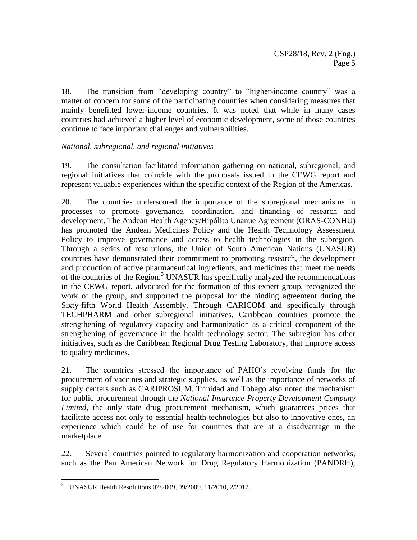18. The transition from "developing country" to "higher-income country" was a matter of concern for some of the participating countries when considering measures that mainly benefitted lower-income countries. It was noted that while in many cases countries had achieved a higher level of economic development, some of those countries continue to face important challenges and vulnerabilities.

# *National, subregional, and regional initiatives*

19. The consultation facilitated information gathering on national, subregional, and regional initiatives that coincide with the proposals issued in the CEWG report and represent valuable experiences within the specific context of the Region of the Americas.

20. The countries underscored the importance of the subregional mechanisms in processes to promote governance, coordination, and financing of research and development. The Andean Health Agency/Hipólito Unanue Agreement (ORAS-CONHU) has promoted the Andean Medicines Policy and the Health Technology Assessment Policy to improve governance and access to health technologies in the subregion. Through a series of resolutions, the Union of South American Nations (UNASUR) countries have demonstrated their commitment to promoting research, the development and production of active pharmaceutical ingredients, and medicines that meet the needs of the countries of the Region.<sup>3</sup> UNASUR has specifically analyzed the recommendations in the CEWG report, advocated for the formation of this expert group, recognized the work of the group, and supported the proposal for the binding agreement during the Sixty-fifth World Health Assembly. Through CARICOM and specifically through TECHPHARM and other subregional initiatives, Caribbean countries promote the strengthening of regulatory capacity and harmonization as a critical component of the strengthening of governance in the health technology sector. The subregion has other initiatives, such as the Caribbean Regional Drug Testing Laboratory, that improve access to quality medicines.

21. The countries stressed the importance of PAHO's revolving funds for the procurement of vaccines and strategic supplies, as well as the importance of networks of supply centers such as CARIPROSUM. Trinidad and Tobago also noted the mechanism for public procurement through the *National Insurance Property Development Company Limited*, the only state drug procurement mechanism, which guarantees prices that facilitate access not only to essential health technologies but also to innovative ones, an experience which could be of use for countries that are at a disadvantage in the marketplace.

22. Several countries pointed to regulatory harmonization and cooperation networks, such as the Pan American Network for Drug Regulatory Harmonization (PANDRH),

 $\overline{\phantom{a}}$ <sup>3</sup> UNASUR Health Resolutions 02/2009, 09/2009, 11/2010, 2/2012.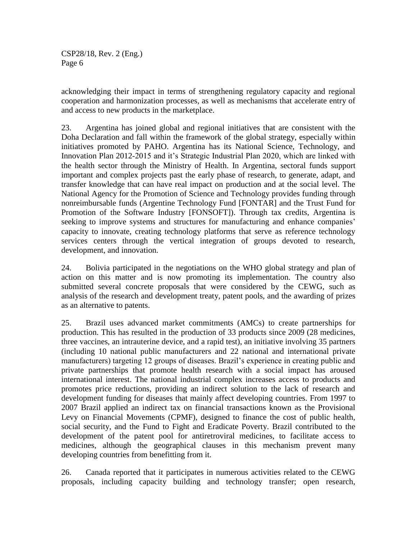acknowledging their impact in terms of strengthening regulatory capacity and regional cooperation and harmonization processes, as well as mechanisms that accelerate entry of and access to new products in the marketplace.

23. Argentina has joined global and regional initiatives that are consistent with the Doha Declaration and fall within the framework of the global strategy, especially within initiatives promoted by PAHO. Argentina has its National Science, Technology, and Innovation Plan 2012-2015 and it's Strategic Industrial Plan 2020, which are linked with the health sector through the Ministry of Health. In Argentina, sectoral funds support important and complex projects past the early phase of research, to generate, adapt, and transfer knowledge that can have real impact on production and at the social level. The National Agency for the Promotion of Science and Technology provides funding through nonreimbursable funds (Argentine Technology Fund [FONTAR] and the Trust Fund for Promotion of the Software Industry [FONSOFT]). Through tax credits, Argentina is seeking to improve systems and structures for manufacturing and enhance companies' capacity to innovate, creating technology platforms that serve as reference technology services centers through the vertical integration of groups devoted to research, development, and innovation.

24. Bolivia participated in the negotiations on the WHO global strategy and plan of action on this matter and is now promoting its implementation. The country also submitted several concrete proposals that were considered by the CEWG, such as analysis of the research and development treaty, patent pools, and the awarding of prizes as an alternative to patents.

25. Brazil uses advanced market commitments (AMCs) to create partnerships for production. This has resulted in the production of 33 products since 2009 (28 medicines, three vaccines, an intrauterine device, and a rapid test), an initiative involving 35 partners (including 10 national public manufacturers and 22 national and international private manufacturers) targeting 12 groups of diseases. Brazil's experience in creating public and private partnerships that promote health research with a social impact has aroused international interest. The national industrial complex increases access to products and promotes price reductions, providing an indirect solution to the lack of research and development funding for diseases that mainly affect developing countries. From 1997 to 2007 Brazil applied an indirect tax on financial transactions known as the Provisional Levy on Financial Movements (CPMF), designed to finance the cost of public health, social security, and the Fund to Fight and Eradicate Poverty. Brazil contributed to the development of the patent pool for antiretroviral medicines, to facilitate access to medicines, although the geographical clauses in this mechanism prevent many developing countries from benefitting from it.

26. Canada reported that it participates in numerous activities related to the CEWG proposals, including capacity building and technology transfer; open research,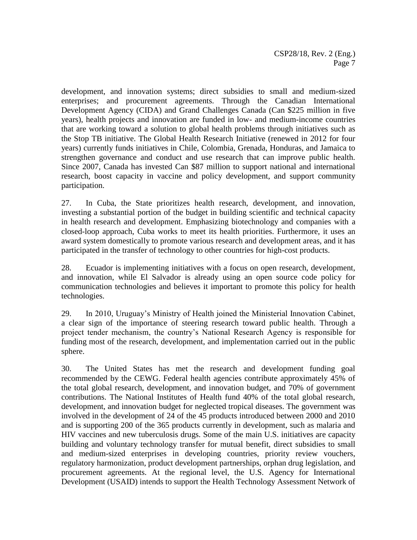development, and innovation systems; direct subsidies to small and medium-sized enterprises; and procurement agreements. Through the Canadian International Development Agency (CIDA) and Grand Challenges Canada (Can \$225 million in five years), health projects and innovation are funded in low- and medium-income countries that are working toward a solution to global health problems through initiatives such as the Stop TB initiative. The Global Health Research Initiative (renewed in 2012 for four years) currently funds initiatives in Chile, Colombia, Grenada, Honduras, and Jamaica to strengthen governance and conduct and use research that can improve public health. Since 2007, Canada has invested Can \$87 million to support national and international research, boost capacity in vaccine and policy development, and support community participation.

27. In Cuba, the State prioritizes health research, development, and innovation, investing a substantial portion of the budget in building scientific and technical capacity in health research and development. Emphasizing biotechnology and companies with a closed-loop approach, Cuba works to meet its health priorities. Furthermore, it uses an award system domestically to promote various research and development areas, and it has participated in the transfer of technology to other countries for high-cost products.

28. Ecuador is implementing initiatives with a focus on open research, development, and innovation, while El Salvador is already using an open source code policy for communication technologies and believes it important to promote this policy for health technologies.

29. In 2010, Uruguay's Ministry of Health joined the Ministerial Innovation Cabinet, a clear sign of the importance of steering research toward public health. Through a project tender mechanism, the country's National Research Agency is responsible for funding most of the research, development, and implementation carried out in the public sphere.

30. The United States has met the research and development funding goal recommended by the CEWG. Federal health agencies contribute approximately 45% of the total global research, development, and innovation budget, and 70% of government contributions. The National Institutes of Health fund 40% of the total global research, development, and innovation budget for neglected tropical diseases. The government was involved in the development of 24 of the 45 products introduced between 2000 and 2010 and is supporting 200 of the 365 products currently in development, such as malaria and HIV vaccines and new tuberculosis drugs. Some of the main U.S. initiatives are capacity building and voluntary technology transfer for mutual benefit, direct subsidies to small and medium-sized enterprises in developing countries, priority review vouchers, regulatory harmonization, product development partnerships, orphan drug legislation, and procurement agreements. At the regional level, the U.S. Agency for International Development (USAID) intends to support the Health Technology Assessment Network of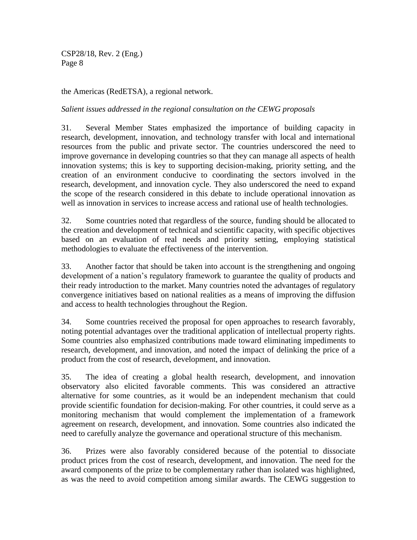the Americas (RedETSA), a regional network.

*Salient issues addressed in the regional consultation on the CEWG proposals*

31. Several Member States emphasized the importance of building capacity in research, development, innovation, and technology transfer with local and international resources from the public and private sector. The countries underscored the need to improve governance in developing countries so that they can manage all aspects of health innovation systems; this is key to supporting decision-making, priority setting, and the creation of an environment conducive to coordinating the sectors involved in the research, development, and innovation cycle. They also underscored the need to expand the scope of the research considered in this debate to include operational innovation as well as innovation in services to increase access and rational use of health technologies.

32. Some countries noted that regardless of the source, funding should be allocated to the creation and development of technical and scientific capacity, with specific objectives based on an evaluation of real needs and priority setting, employing statistical methodologies to evaluate the effectiveness of the intervention.

33. Another factor that should be taken into account is the strengthening and ongoing development of a nation's regulatory framework to guarantee the quality of products and their ready introduction to the market. Many countries noted the advantages of regulatory convergence initiatives based on national realities as a means of improving the diffusion and access to health technologies throughout the Region.

34. Some countries received the proposal for open approaches to research favorably, noting potential advantages over the traditional application of intellectual property rights. Some countries also emphasized contributions made toward eliminating impediments to research, development, and innovation, and noted the impact of delinking the price of a product from the cost of research, development, and innovation.

35. The idea of creating a global health research, development, and innovation observatory also elicited favorable comments. This was considered an attractive alternative for some countries, as it would be an independent mechanism that could provide scientific foundation for decision-making. For other countries, it could serve as a monitoring mechanism that would complement the implementation of a framework agreement on research, development, and innovation. Some countries also indicated the need to carefully analyze the governance and operational structure of this mechanism.

36. Prizes were also favorably considered because of the potential to dissociate product prices from the cost of research, development, and innovation. The need for the award components of the prize to be complementary rather than isolated was highlighted, as was the need to avoid competition among similar awards. The CEWG suggestion to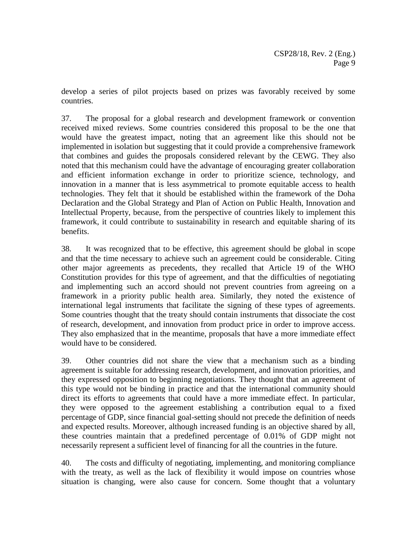develop a series of pilot projects based on prizes was favorably received by some countries.

37. The proposal for a global research and development framework or convention received mixed reviews. Some countries considered this proposal to be the one that would have the greatest impact, noting that an agreement like this should not be implemented in isolation but suggesting that it could provide a comprehensive framework that combines and guides the proposals considered relevant by the CEWG. They also noted that this mechanism could have the advantage of encouraging greater collaboration and efficient information exchange in order to prioritize science, technology, and innovation in a manner that is less asymmetrical to promote equitable access to health technologies. They felt that it should be established within the framework of the Doha Declaration and the Global Strategy and Plan of Action on Public Health, Innovation and Intellectual Property, because, from the perspective of countries likely to implement this framework, it could contribute to sustainability in research and equitable sharing of its benefits.

38. It was recognized that to be effective, this agreement should be global in scope and that the time necessary to achieve such an agreement could be considerable. Citing other major agreements as precedents, they recalled that Article 19 of the WHO Constitution provides for this type of agreement, and that the difficulties of negotiating and implementing such an accord should not prevent countries from agreeing on a framework in a priority public health area. Similarly, they noted the existence of international legal instruments that facilitate the signing of these types of agreements. Some countries thought that the treaty should contain instruments that dissociate the cost of research, development, and innovation from product price in order to improve access. They also emphasized that in the meantime, proposals that have a more immediate effect would have to be considered.

39. Other countries did not share the view that a mechanism such as a binding agreement is suitable for addressing research, development, and innovation priorities, and they expressed opposition to beginning negotiations. They thought that an agreement of this type would not be binding in practice and that the international community should direct its efforts to agreements that could have a more immediate effect. In particular, they were opposed to the agreement establishing a contribution equal to a fixed percentage of GDP, since financial goal-setting should not precede the definition of needs and expected results. Moreover, although increased funding is an objective shared by all, these countries maintain that a predefined percentage of 0.01% of GDP might not necessarily represent a sufficient level of financing for all the countries in the future.

40. The costs and difficulty of negotiating, implementing, and monitoring compliance with the treaty, as well as the lack of flexibility it would impose on countries whose situation is changing, were also cause for concern. Some thought that a voluntary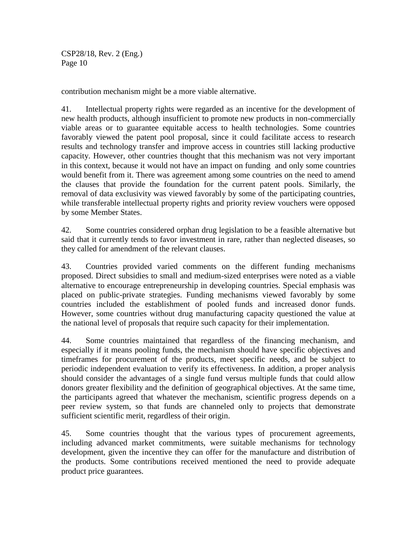contribution mechanism might be a more viable alternative.

41. Intellectual property rights were regarded as an incentive for the development of new health products, although insufficient to promote new products in non-commercially viable areas or to guarantee equitable access to health technologies. Some countries favorably viewed the patent pool proposal, since it could facilitate access to research results and technology transfer and improve access in countries still lacking productive capacity. However, other countries thought that this mechanism was not very important in this context, because it would not have an impact on funding and only some countries would benefit from it. There was agreement among some countries on the need to amend the clauses that provide the foundation for the current patent pools. Similarly, the removal of data exclusivity was viewed favorably by some of the participating countries, while transferable intellectual property rights and priority review vouchers were opposed by some Member States.

42. Some countries considered orphan drug legislation to be a feasible alternative but said that it currently tends to favor investment in rare, rather than neglected diseases, so they called for amendment of the relevant clauses.

43. Countries provided varied comments on the different funding mechanisms proposed. Direct subsidies to small and medium-sized enterprises were noted as a viable alternative to encourage entrepreneurship in developing countries. Special emphasis was placed on public-private strategies. Funding mechanisms viewed favorably by some countries included the establishment of pooled funds and increased donor funds. However, some countries without drug manufacturing capacity questioned the value at the national level of proposals that require such capacity for their implementation.

44. Some countries maintained that regardless of the financing mechanism, and especially if it means pooling funds, the mechanism should have specific objectives and timeframes for procurement of the products, meet specific needs, and be subject to periodic independent evaluation to verify its effectiveness. In addition, a proper analysis should consider the advantages of a single fund versus multiple funds that could allow donors greater flexibility and the definition of geographical objectives. At the same time, the participants agreed that whatever the mechanism, scientific progress depends on a peer review system, so that funds are channeled only to projects that demonstrate sufficient scientific merit, regardless of their origin.

45. Some countries thought that the various types of procurement agreements, including advanced market commitments, were suitable mechanisms for technology development, given the incentive they can offer for the manufacture and distribution of the products. Some contributions received mentioned the need to provide adequate product price guarantees.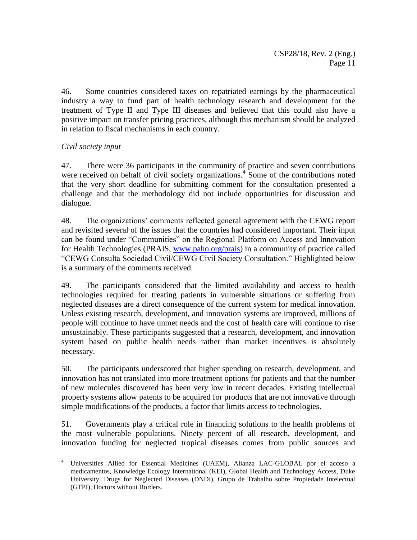46. Some countries considered taxes on repatriated earnings by the pharmaceutical industry a way to fund part of health technology research and development for the treatment of Type II and Type III diseases and believed that this could also have a positive impact on transfer pricing practices, although this mechanism should be analyzed in relation to fiscal mechanisms in each country.

### *Civil society input*

 $\overline{\phantom{a}}$ 

47. There were 36 participants in the community of practice and seven contributions were received on behalf of civil society organizations.<sup>4</sup> Some of the contributions noted that the very short deadline for submitting comment for the consultation presented a challenge and that the methodology did not include opportunities for discussion and dialogue.

48. The organizations' comments reflected general agreement with the CEWG report and revisited several of the issues that the countries had considered important. Their input can be found under "Communities" on the Regional Platform on Access and Innovation for Health Technologies (PRAIS, [www.paho.org/prais\)](http://www.paho.org/prais) in a community of practice called "CEWG Consulta Sociedad Civil/CEWG Civil Society Consultation." Highlighted below is a summary of the comments received.

49. The participants considered that the limited availability and access to health technologies required for treating patients in vulnerable situations or suffering from neglected diseases are a direct consequence of the current system for medical innovation. Unless existing research, development, and innovation systems are improved, millions of people will continue to have unmet needs and the cost of health care will continue to rise unsustainably. These participants suggested that a research, development, and innovation system based on public health needs rather than market incentives is absolutely necessary.

50. The participants underscored that higher spending on research, development, and innovation has not translated into more treatment options for patients and that the number of new molecules discovered has been very low in recent decades. Existing intellectual property systems allow patents to be acquired for products that are not innovative through simple modifications of the products, a factor that limits access to technologies.

51. Governments play a critical role in financing solutions to the health problems of the most vulnerable populations. Ninety percent of all research, development, and innovation funding for neglected tropical diseases comes from public sources and

<sup>4</sup> Universities Allied for Essential Medicines (UAEM), Alianza LAC-GLOBAL por el acceso a medicamentos, Knowledge Ecology International (KEI), Global Health and Technology Access, Duke University, Drugs for Neglected Diseases (DNDi), Grupo de Trabalho sobre Propiedade Intelectual (GTPI), Doctors without Borders.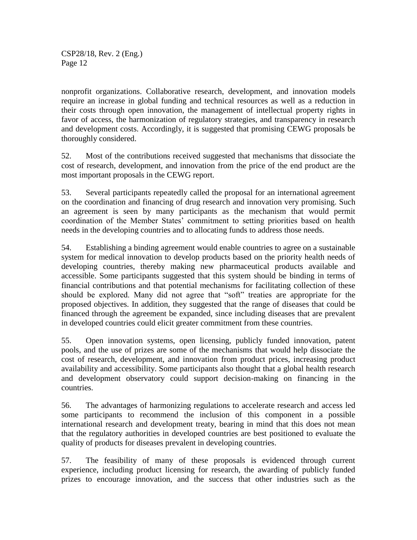nonprofit organizations. Collaborative research, development, and innovation models require an increase in global funding and technical resources as well as a reduction in their costs through open innovation, the management of intellectual property rights in favor of access, the harmonization of regulatory strategies, and transparency in research and development costs. Accordingly, it is suggested that promising CEWG proposals be thoroughly considered.

52. Most of the contributions received suggested that mechanisms that dissociate the cost of research, development, and innovation from the price of the end product are the most important proposals in the CEWG report.

53. Several participants repeatedly called the proposal for an international agreement on the coordination and financing of drug research and innovation very promising. Such an agreement is seen by many participants as the mechanism that would permit coordination of the Member States' commitment to setting priorities based on health needs in the developing countries and to allocating funds to address those needs.

54. Establishing a binding agreement would enable countries to agree on a sustainable system for medical innovation to develop products based on the priority health needs of developing countries, thereby making new pharmaceutical products available and accessible. Some participants suggested that this system should be binding in terms of financial contributions and that potential mechanisms for facilitating collection of these should be explored. Many did not agree that "soft" treaties are appropriate for the proposed objectives. In addition, they suggested that the range of diseases that could be financed through the agreement be expanded, since including diseases that are prevalent in developed countries could elicit greater commitment from these countries.

55. Open innovation systems, open licensing, publicly funded innovation, patent pools, and the use of prizes are some of the mechanisms that would help dissociate the cost of research, development, and innovation from product prices, increasing product availability and accessibility. Some participants also thought that a global health research and development observatory could support decision-making on financing in the countries.

56. The advantages of harmonizing regulations to accelerate research and access led some participants to recommend the inclusion of this component in a possible international research and development treaty, bearing in mind that this does not mean that the regulatory authorities in developed countries are best positioned to evaluate the quality of products for diseases prevalent in developing countries.

57. The feasibility of many of these proposals is evidenced through current experience, including product licensing for research, the awarding of publicly funded prizes to encourage innovation, and the success that other industries such as the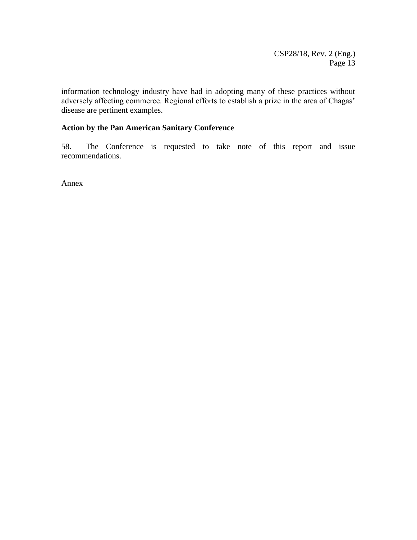information technology industry have had in adopting many of these practices without adversely affecting commerce. Regional efforts to establish a prize in the area of Chagas' disease are pertinent examples.

### **Action by the Pan American Sanitary Conference**

58. The Conference is requested to take note of this report and issue recommendations.

Annex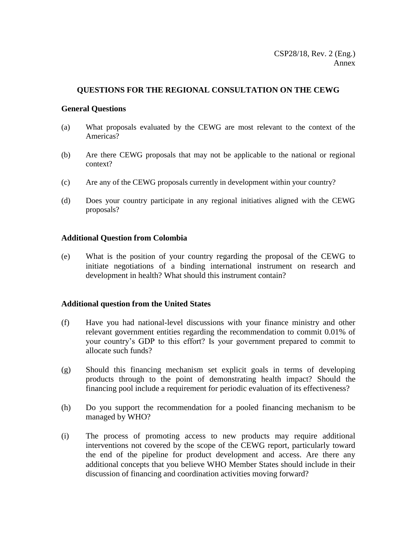#### **QUESTIONS FOR THE REGIONAL CONSULTATION ON THE CEWG**

#### **General Questions**

- (a) What proposals evaluated by the CEWG are most relevant to the context of the Americas?
- (b) Are there CEWG proposals that may not be applicable to the national or regional context?
- (c) Are any of the CEWG proposals currently in development within your country?
- (d) Does your country participate in any regional initiatives aligned with the CEWG proposals?

#### **Additional Question from Colombia**

(e) What is the position of your country regarding the proposal of the CEWG to initiate negotiations of a binding international instrument on research and development in health? What should this instrument contain?

#### **Additional question from the United States**

- (f) Have you had national-level discussions with your finance ministry and other relevant government entities regarding the recommendation to commit 0.01% of your country's GDP to this effort? Is your government prepared to commit to allocate such funds?
- (g) Should this financing mechanism set explicit goals in terms of developing products through to the point of demonstrating health impact? Should the financing pool include a requirement for periodic evaluation of its effectiveness?
- (h) Do you support the recommendation for a pooled financing mechanism to be managed by WHO?
- (i) The process of promoting access to new products may require additional interventions not covered by the scope of the CEWG report, particularly toward the end of the pipeline for product development and access. Are there any additional concepts that you believe WHO Member States should include in their discussion of financing and coordination activities moving forward?